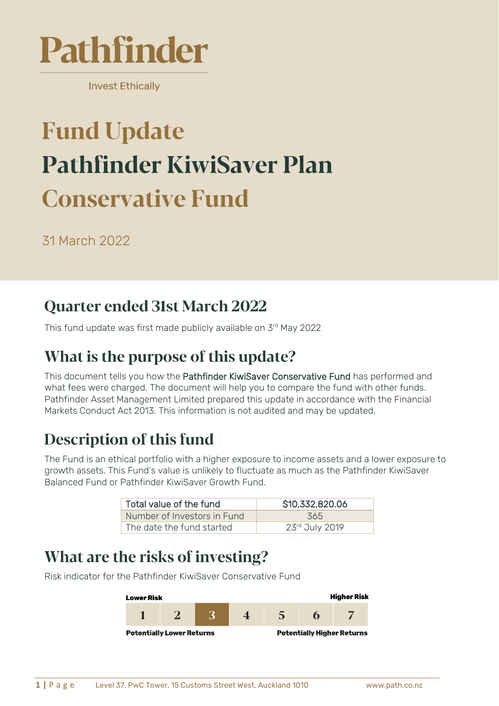

**Invest Ethically** 

# **Fund Update Pathfinder KiwiSaver Plan Conservative Fund**

31 March 2022

#### **Quarter ended 31st March 2022**

This fund update was first made publicly available on 3 rd May 2022

# What is the purpose of this update?

This document tells you how the Pathfinder KiwiSaver Conservative Fund has performed and what fees were charged. The document will help you to compare the fund with other funds. Pathfinder Asset Management Limited prepared this update in accordance with the Financial Markets Conduct Act 2013. This information is not audited and may be updated.

# **Description of this fund**

The Fund is an ethical portfolio with a higher exposure to income assets and a lower exposure to growth assets. This Fund's value is unlikely to fluctuate as much as the Pathfinder KiwiSaver Balanced Fund or Pathfinder KiwiSaver Growth Fund.

| Total value of the fund     | \$10,332,820.06 |  |
|-----------------------------|-----------------|--|
| Number of Investors in Fund | 365             |  |
| The date the fund started   | 23rd July 2019  |  |

#### What are the risks of investing?

**Higher Risk Lower Risk**  $\overline{2}$ 3  $\overline{5}$  $\mathbf{1}$  $\overline{\mathbf{4}}$ 7 6 **Potentially Lower Returns Potentially Higher Returns** 

Risk indicator for the Pathfinder KiwiSaver Conservative Fund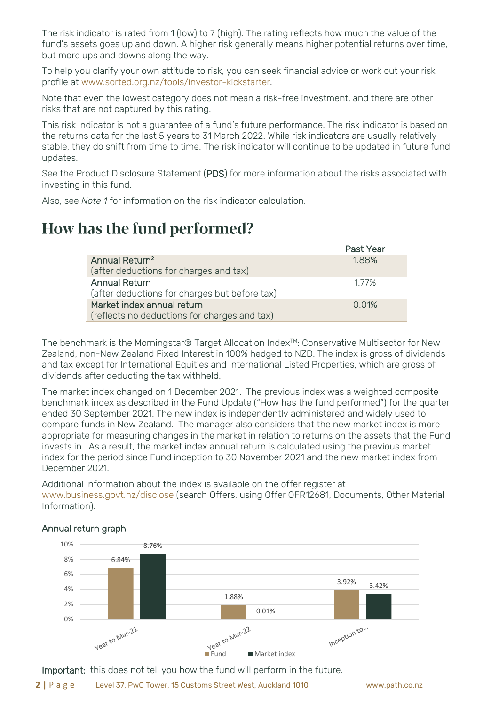The risk indicator is rated from 1 (low) to 7 (high). The rating reflects how much the value of the fund's assets goes up and down. A higher risk generally means higher potential returns over time, but more ups and downs along the way.

To help you clarify your own attitude to risk, you can seek financial advice or work out your risk profile at [www.sorted.org.nz/tools/investor-kickstarter.](http://www.sorted.org.nz/tools/investor-kickstarter)

Note that even the lowest category does not mean a risk-free investment, and there are other risks that are not captured by this rating.

This risk indicator is not a guarantee of a fund's future performance. The risk indicator is based on the returns data for the last 5 years to 31 March 2022. While risk indicators are usually relatively stable, they do shift from time to time. The risk indicator will continue to be updated in future fund updates.

See the Product Disclosure Statement (PDS) for more information about the risks associated with investing in this fund.

Also, see *Note 1* for information on the risk indicator calculation.

#### How has the fund performed?

|                                               | Past Year |
|-----------------------------------------------|-----------|
| Annual Return <sup>2</sup>                    | 188%      |
| (after deductions for charges and tax)        |           |
| <b>Annual Return</b>                          | 177%      |
| (after deductions for charges but before tax) |           |
| Market index annual return                    | 0.01%     |
| (reflects no deductions for charges and tax)  |           |

The benchmark is the Morningstar® Target Allocation Index<sup>™</sup>: Conservative Multisector for New Zealand, non-New Zealand Fixed Interest in 100% hedged to NZD. The index is gross of dividends and tax except for International Equities and International Listed Properties, which are gross of dividends after deducting the tax withheld.

The market index changed on 1 December 2021. The previous index was a weighted composite benchmark index as described in the Fund Update ("How has the fund performed") for the quarter ended 30 September 2021. The new index is independently administered and widely used to compare funds in New Zealand. The manager also considers that the new market index is more appropriate for measuring changes in the market in relation to returns on the assets that the Fund invests in. As a result, the market index annual return is calculated using the previous market index for the period since Fund inception to 30 November 2021 and the new market index from December 2021.

Additional information about the index is available on the offer register at [www.business.govt.nz/disclose](http://www.business.govt.nz/disclose) (search Offers, using Offer OFR12681, Documents, Other Material Information).



#### Annual return graph

Important: this does not tell you how the fund will perform in the future.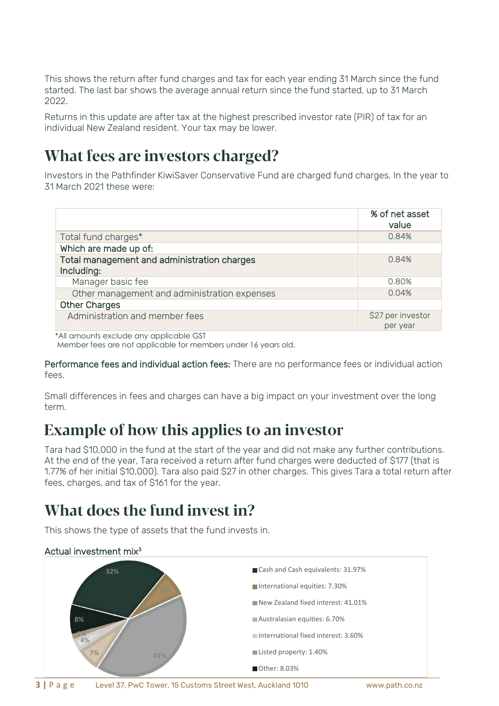This shows the return after fund charges and tax for each year ending 31 March since the fund started. The last bar shows the average annual return since the fund started, up to 31 March 2022.

Returns in this update are after tax at the highest prescribed investor rate (PIR) of tax for an individual New Zealand resident. Your tax may be lower.

#### What fees are investors charged?

Investors in the Pathfinder KiwiSaver Conservative Fund are charged fund charges. In the year to 31 March 2021 these were:

|                                                           | % of net asset<br>value |
|-----------------------------------------------------------|-------------------------|
| Total fund charges*                                       | 0.84%                   |
| Which are made up of:                                     |                         |
| Total management and administration charges<br>Including: | 0.84%                   |
| Manager basic fee                                         | 0.80%                   |
| Other management and administration expenses              | 0.04%                   |
| <b>Other Charges</b>                                      |                         |
| Administration and member fees                            | \$27 per investor       |
|                                                           | per year                |

 \*All amounts exclude any applicable GST Member fees are not applicable for members under 16 years old.

Performance fees and individual action fees: There are no performance fees or individual action fees.

Small differences in fees and charges can have a big impact on your investment over the long term.

#### **Example of how this applies to an investor**

Tara had \$10,000 in the fund at the start of the year and did not make any further contributions. At the end of the year, Tara received a return after fund charges were deducted of \$177 (that is 1.77% of her initial \$10,000). Tara also paid \$27 in other charges. This gives Tara a total return after fees, charges, and tax of \$161 for the year.

# What does the fund invest in?

This shows the type of assets that the fund invests in.

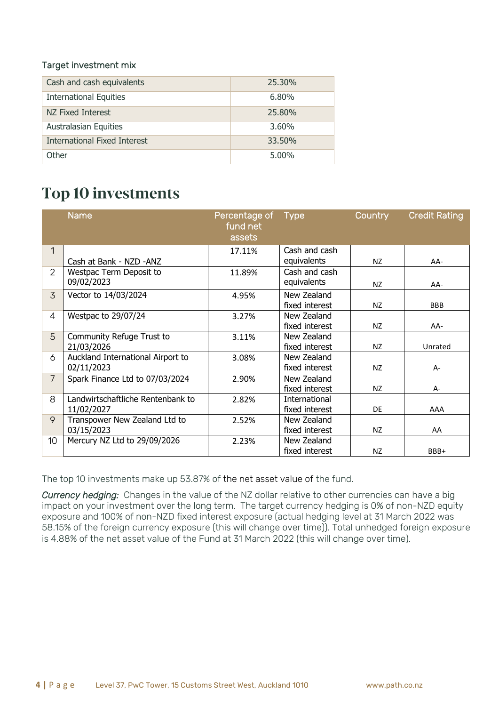#### Target investment mix

| Cash and cash equivalents     | 25.30% |
|-------------------------------|--------|
| <b>International Equities</b> | 6.80%  |
| NZ Fixed Interest             | 25.80% |
| <b>Australasian Equities</b>  | 3.60%  |
| International Fixed Interest  | 33.50% |
| Other                         | 5.00%  |

#### **Top 10 investments**

|                 | <b>Name</b>                       | Percentage of<br>fund net<br>assets | <b>Type</b>    | <b>Country</b> | <b>Credit Rating</b> |
|-----------------|-----------------------------------|-------------------------------------|----------------|----------------|----------------------|
| 1               |                                   | 17.11%                              | Cash and cash  |                |                      |
|                 | Cash at Bank - NZD -ANZ           |                                     | equivalents    | NZ             | AA-                  |
| 2               | Westpac Term Deposit to           | 11.89%                              | Cash and cash  |                |                      |
|                 | 09/02/2023                        |                                     | equivalents    | NZ             | AA-                  |
| 3               | Vector to 14/03/2024              | 4.95%                               | New Zealand    |                |                      |
|                 |                                   |                                     | fixed interest | NZ             | <b>BBB</b>           |
| 4               | Westpac to 29/07/24               | 3.27%                               | New Zealand    |                |                      |
|                 |                                   |                                     | fixed interest | NZ             | AA-                  |
| 5               | Community Refuge Trust to         | 3.11%                               | New Zealand    |                |                      |
|                 | 21/03/2026                        |                                     | fixed interest | NZ.            | Unrated              |
| 6               | Auckland International Airport to | 3.08%                               | New Zealand    |                |                      |
|                 | 02/11/2023                        |                                     | fixed interest | NZ             | $A -$                |
| $\overline{7}$  | Spark Finance Ltd to 07/03/2024   | 2.90%                               | New Zealand    |                |                      |
|                 |                                   |                                     | fixed interest | NZ             | A-                   |
| 8               | Landwirtschaftliche Rentenbank to | 2.82%                               | International  |                |                      |
|                 | 11/02/2027                        |                                     | fixed interest | DE             | AAA                  |
| 9               | Transpower New Zealand Ltd to     | 2.52%                               | New Zealand    |                |                      |
|                 | 03/15/2023                        |                                     | fixed interest | NZ             | AA                   |
| 10 <sup>°</sup> | Mercury NZ Ltd to 29/09/2026      | 2.23%                               | New Zealand    |                |                      |
|                 |                                   |                                     | fixed interest | NZ             | BBB+                 |

The top 10 investments make up 53.87% of the net asset value of the fund.

*Currency hedging:* Changes in the value of the NZ dollar relative to other currencies can have a big impact on your investment over the long term. The target currency hedging is 0% of non-NZD equity exposure and 100% of non-NZD fixed interest exposure (actual hedging level at 31 March 2022 was 58.15% of the foreign currency exposure (this will change over time)). Total unhedged foreign exposure is 4.88% of the net asset value of the Fund at 31 March 2022 (this will change over time).